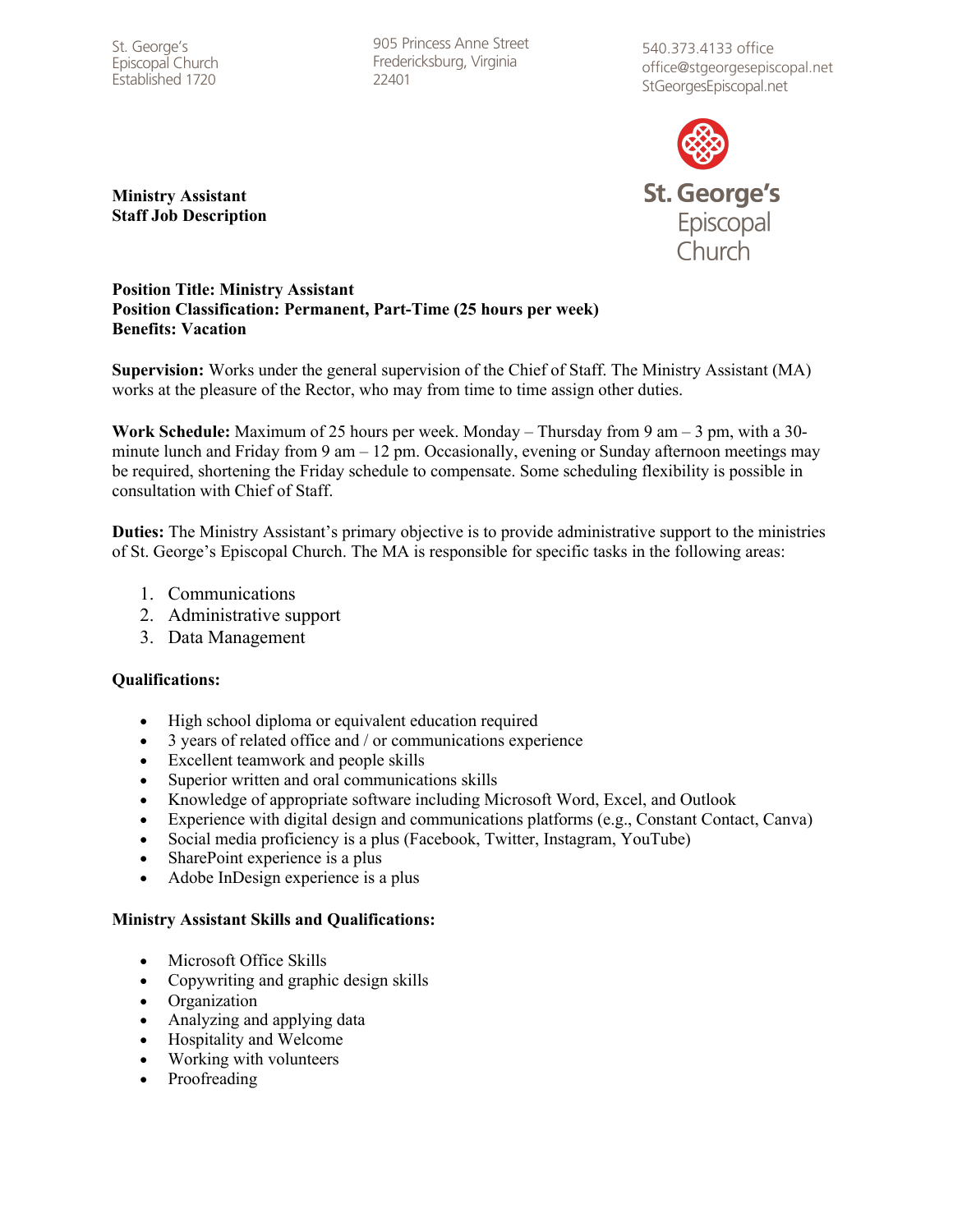St. George's Episcopal Church Established 1720

905 Princess Anne Street Fredericksburg, Virginia 22401

540.373.4133 office office@stgeorgesepiscopal.net StGeorgesEpiscopal.net



**Ministry Assistant Staff Job Description**

#### **Position Title: Ministry Assistant Position Classification: Permanent, Part-Time (25 hours per week) Benefits: Vacation**

**Supervision:** Works under the general supervision of the Chief of Staff. The Ministry Assistant (MA) works at the pleasure of the Rector, who may from time to time assign other duties.

**Work Schedule:** Maximum of 25 hours per week. Monday – Thursday from 9 am – 3 pm, with a 30 minute lunch and Friday from  $9 \text{ am} - 12 \text{ pm}$ . Occasionally, evening or Sunday afternoon meetings may be required, shortening the Friday schedule to compensate. Some scheduling flexibility is possible in consultation with Chief of Staff.

**Duties:** The Ministry Assistant's primary objective is to provide administrative support to the ministries of St. George's Episcopal Church. The MA is responsible for specific tasks in the following areas:

- 1. Communications
- 2. Administrative support
- 3. Data Management

### **Qualifications:**

- High school diploma or equivalent education required
- 3 years of related office and / or communications experience
- Excellent teamwork and people skills
- Superior written and oral communications skills
- Knowledge of appropriate software including Microsoft Word, Excel, and Outlook
- Experience with digital design and communications platforms (e.g., Constant Contact, Canva)
- Social media proficiency is a plus (Facebook, Twitter, Instagram, YouTube)
- SharePoint experience is a plus
- Adobe InDesign experience is a plus

### **Ministry Assistant Skills and Qualifications:**

- Microsoft Office Skills
- Copywriting and graphic design skills
- Organization
- Analyzing and applying data
- Hospitality and Welcome
- Working with volunteers
- **Proofreading**